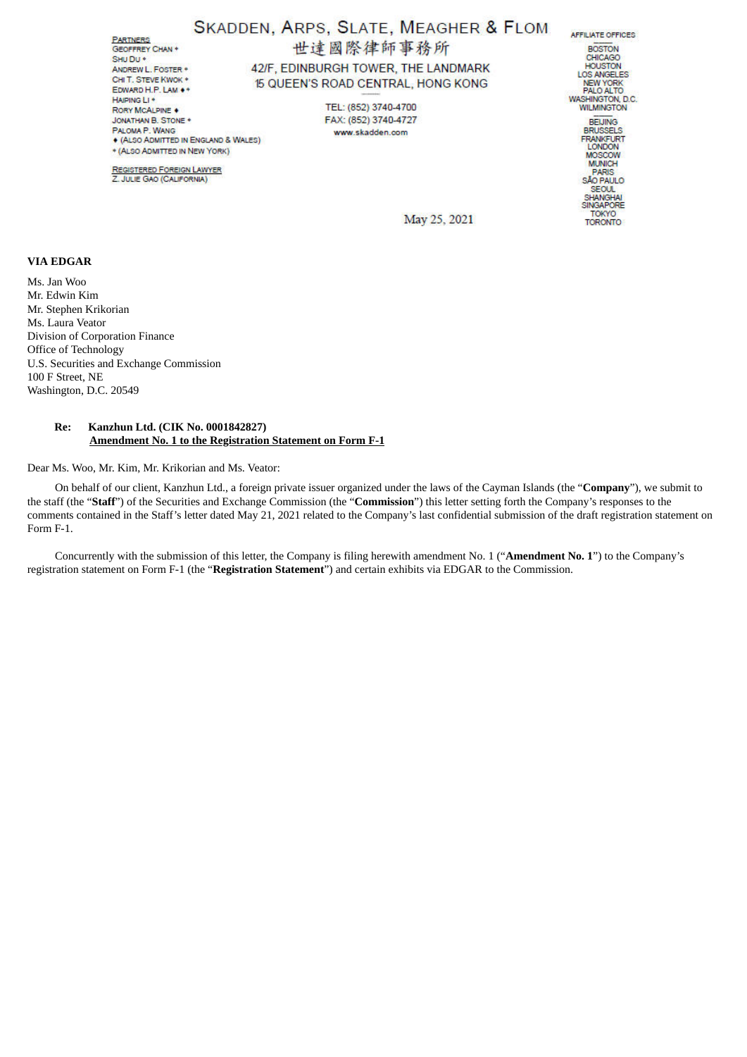**PARTNERS** GEOFFREY CHAN + SHUDU + ANDREW | FOSTER . CHIT, STEVE KWOK \* EDWARD H.P. LAM .\* HAIPING LI+ RORY MCALPINE . JONATHAN B. STONE PALOMA P. WANG **. (ALSO ADMITTED IN ENGLAND & WALES)** \* (ALSO ADMITTED IN NEW YORK)

**REGISTERED FOREIGN LAWYER** Z. JULIE GAO (CALIFORNIA)

# SKADDEN, ARPS, SLATE, MEAGHER & FLOM

世達國際律師事務所

42/F, EDINBURGH TOWER, THE LANDMARK 15 QUEEN'S ROAD CENTRAL, HONG KONG

> TEL: (852) 3740-4700 FAX: (852) 3740-4727 www.skadden.com

**AFFILIATE OFFICES ROSTON** BOSTON<br>CHICAGO<br>HOUSTON<br>LOS ANGELES<br>NEW YORK<br>PALO ALTO WASHINGTON, D.C. **BEIJING** BRUSSELS<br>FRANKFURT<br>LONDON MOSCOW PARIS<br>SÃO PAULO SEOUL SHANGHAI<br>SINGAPORE **TOKYO TORONTO** 

May 25, 2021

# **VIA EDGAR**

Ms. Jan Woo Mr. Edwin Kim Mr. Stephen Krikorian Ms. Laura Veator Division of Corporation Finance Office of Technology U.S. Securities and Exchange Commission 100 F Street, NE Washington, D.C. 20549

## **Re: Kanzhun Ltd. (CIK No. 0001842827) Amendment No. 1 to the Registration Statement on Form F-1**

Dear Ms. Woo, Mr. Kim, Mr. Krikorian and Ms. Veator:

On behalf of our client, Kanzhun Ltd., a foreign private issuer organized under the laws of the Cayman Islands (the "**Company**"), we submit to the staff (the "**Staff**") of the Securities and Exchange Commission (the "**Commission**") this letter setting forth the Company's responses to the comments contained in the Staff's letter dated May 21, 2021 related to the Company's last confidential submission of the draft registration statement on Form F-1.

Concurrently with the submission of this letter, the Company is filing herewith amendment No. 1 ("**Amendment No. 1**") to the Company's registration statement on Form F-1 (the "**Registration Statement**") and certain exhibits via EDGAR to the Commission.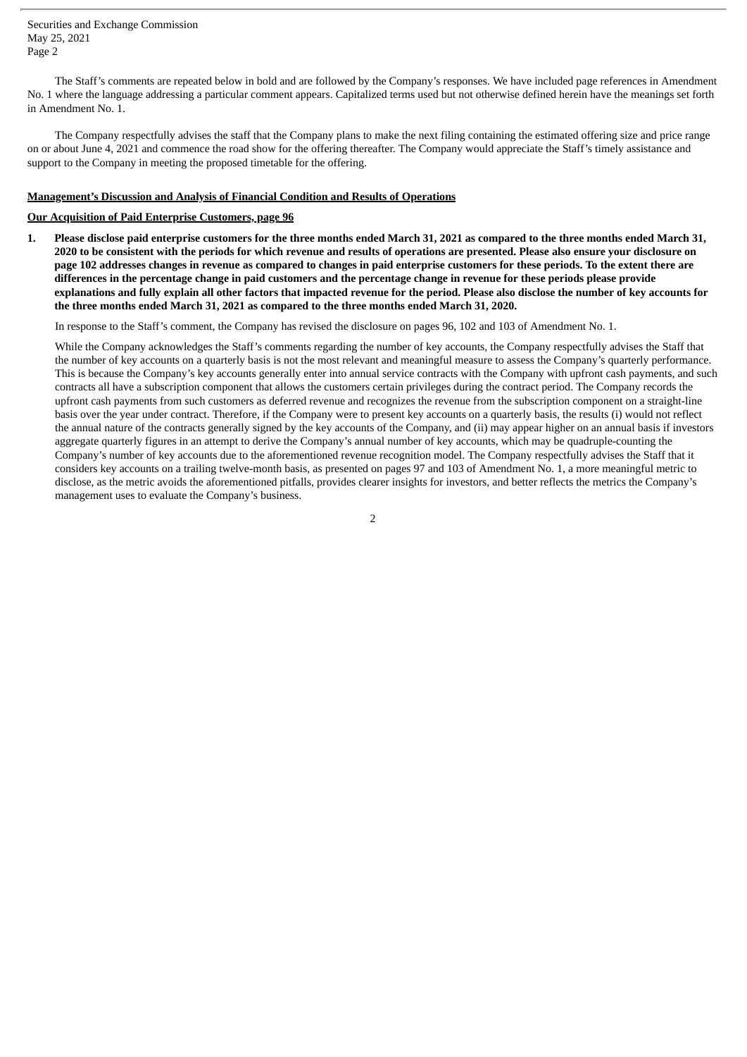Securities and Exchange Commission May 25, 2021 Page 2

The Staff's comments are repeated below in bold and are followed by the Company's responses. We have included page references in Amendment No. 1 where the language addressing a particular comment appears. Capitalized terms used but not otherwise defined herein have the meanings set forth in Amendment No. 1.

The Company respectfully advises the staff that the Company plans to make the next filing containing the estimated offering size and price range on or about June 4, 2021 and commence the road show for the offering thereafter. The Company would appreciate the Staff's timely assistance and support to the Company in meeting the proposed timetable for the offering.

#### **Management's Discussion and Analysis of Financial Condition and Results of Operations**

# **Our Acquisition of Paid Enterprise Customers, page 96**

1. Please disclose paid enterprise customers for the three months ended March 31, 2021 as compared to the three months ended March 31, 2020 to be consistent with the periods for which revenue and results of operations are presented. Please also ensure your disclosure on page 102 addresses changes in revenue as compared to changes in paid enterprise customers for these periods. To the extent there are differences in the percentage change in paid customers and the percentage change in revenue for these periods please provide explanations and fully explain all other factors that impacted revenue for the period. Please also disclose the number of key accounts for **the three months ended March 31, 2021 as compared to the three months ended March 31, 2020.**

In response to the Staff's comment, the Company has revised the disclosure on pages 96, 102 and 103 of Amendment No. 1.

While the Company acknowledges the Staff's comments regarding the number of key accounts, the Company respectfully advises the Staff that the number of key accounts on a quarterly basis is not the most relevant and meaningful measure to assess the Company's quarterly performance. This is because the Company's key accounts generally enter into annual service contracts with the Company with upfront cash payments, and such contracts all have a subscription component that allows the customers certain privileges during the contract period. The Company records the upfront cash payments from such customers as deferred revenue and recognizes the revenue from the subscription component on a straight-line basis over the year under contract. Therefore, if the Company were to present key accounts on a quarterly basis, the results (i) would not reflect the annual nature of the contracts generally signed by the key accounts of the Company, and (ii) may appear higher on an annual basis if investors aggregate quarterly figures in an attempt to derive the Company's annual number of key accounts, which may be quadruple-counting the Company's number of key accounts due to the aforementioned revenue recognition model. The Company respectfully advises the Staff that it considers key accounts on a trailing twelve-month basis, as presented on pages 97 and 103 of Amendment No. 1, a more meaningful metric to disclose, as the metric avoids the aforementioned pitfalls, provides clearer insights for investors, and better reflects the metrics the Company's management uses to evaluate the Company's business.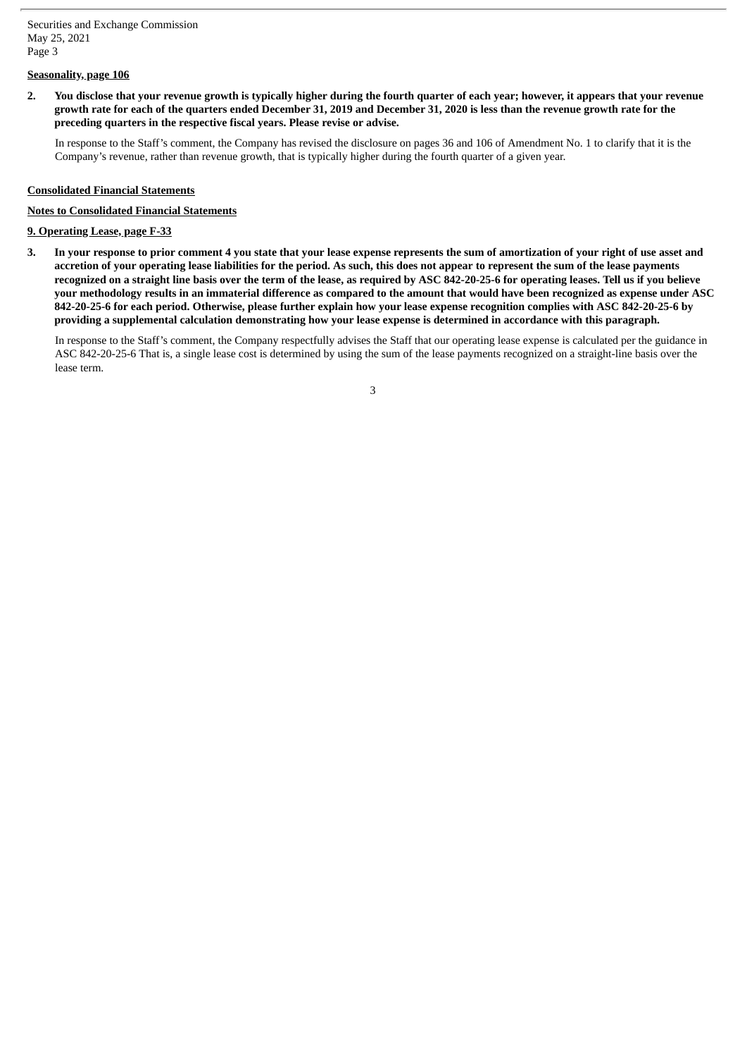# **Seasonality, page 106**

2. You disclose that your revenue growth is typically higher during the fourth quarter of each year; however, it appears that your revenue growth rate for each of the quarters ended December 31, 2019 and December 31, 2020 is less than the revenue growth rate for the **preceding quarters in the respective fiscal years. Please revise or advise.**

In response to the Staff's comment, the Company has revised the disclosure on pages 36 and 106 of Amendment No. 1 to clarify that it is the Company's revenue, rather than revenue growth, that is typically higher during the fourth quarter of a given year.

#### **Consolidated Financial Statements**

# **Notes to Consolidated Financial Statements**

#### **9. Operating Lease, page F-33**

3. In your response to prior comment 4 you state that your lease expense represents the sum of amortization of your right of use asset and accretion of your operating lease liabilities for the period. As such, this does not appear to represent the sum of the lease payments recognized on a straight line basis over the term of the lease, as required by ASC 842-20-25-6 for operating leases. Tell us if you believe your methodology results in an immaterial difference as compared to the amount that would have been recognized as expense under ASC 842-20-25-6 for each period. Otherwise, please further explain how your lease expense recognition complies with ASC 842-20-25-6 by providing a supplemental calculation demonstrating how your lease expense is determined in accordance with this paragraph.

In response to the Staff's comment, the Company respectfully advises the Staff that our operating lease expense is calculated per the guidance in ASC 842-20-25-6 That is, a single lease cost is determined by using the sum of the lease payments recognized on a straight-line basis over the lease term.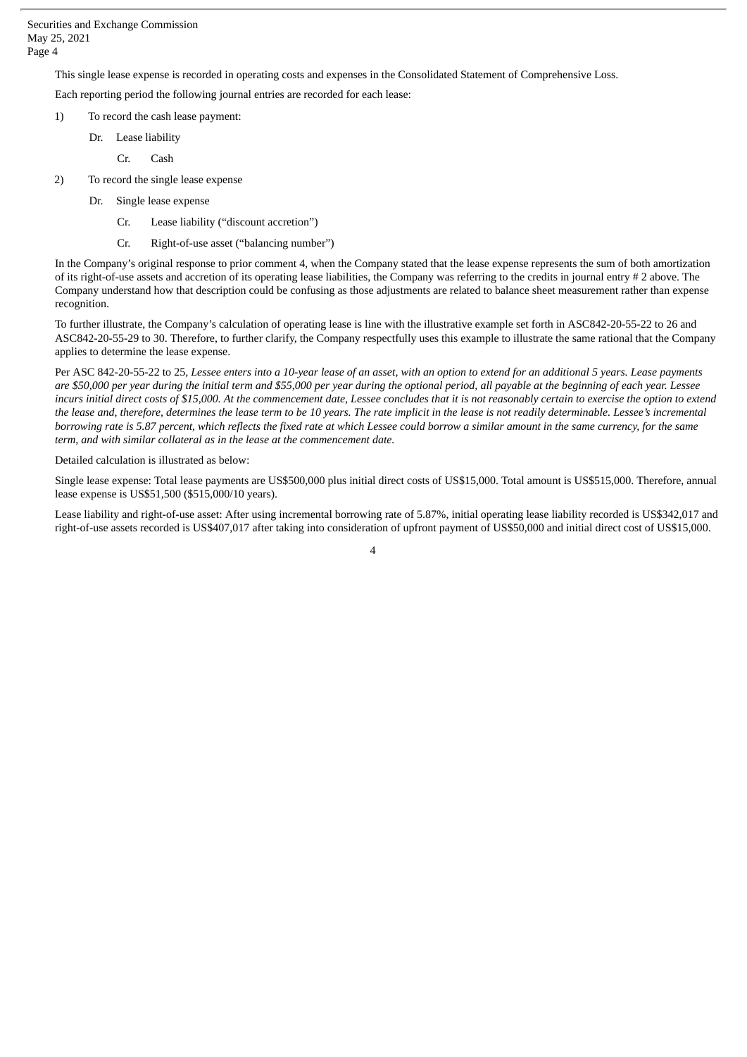This single lease expense is recorded in operating costs and expenses in the Consolidated Statement of Comprehensive Loss.

Each reporting period the following journal entries are recorded for each lease:

- 1) To record the cash lease payment:
	- Dr. Lease liability
		- Cr. Cash
- 2) To record the single lease expense
	- Dr. Single lease expense
		- Cr. Lease liability ("discount accretion")
		- Cr. Right-of-use asset ("balancing number")

In the Company's original response to prior comment 4, when the Company stated that the lease expense represents the sum of both amortization of its right-of-use assets and accretion of its operating lease liabilities, the Company was referring to the credits in journal entry # 2 above. The Company understand how that description could be confusing as those adjustments are related to balance sheet measurement rather than expense recognition.

To further illustrate, the Company's calculation of operating lease is line with the illustrative example set forth in ASC842-20-55-22 to 26 and ASC842-20-55-29 to 30. Therefore, to further clarify, the Company respectfully uses this example to illustrate the same rational that the Company applies to determine the lease expense.

Per ASC 842-20-55-22 to 25, Lessee enters into a 10-year lease of an asset, with an option to extend for an additional 5 years. Lease payments are \$50,000 per year during the initial term and \$55,000 per year during the optional period, all payable at the beginning of each year. Lessee incurs initial direct costs of \$15,000. At the commencement date, Lessee concludes that it is not reasonably certain to exercise the option to extend the lease and, therefore, determines the lease term to be 10 years. The rate implicit in the lease is not readily determinable. Lessee's incremental borrowing rate is 5.87 percent, which reflects the fixed rate at which Lessee could borrow a similar amount in the same currency, for the same *term, and with similar collateral as in the lease at the commencement date.*

Detailed calculation is illustrated as below:

Single lease expense: Total lease payments are US\$500,000 plus initial direct costs of US\$15,000. Total amount is US\$515,000. Therefore, annual lease expense is US\$51,500 (\$515,000/10 years).

Lease liability and right-of-use asset: After using incremental borrowing rate of 5.87%, initial operating lease liability recorded is US\$342,017 and right-of-use assets recorded is US\$407,017 after taking into consideration of upfront payment of US\$50,000 and initial direct cost of US\$15,000.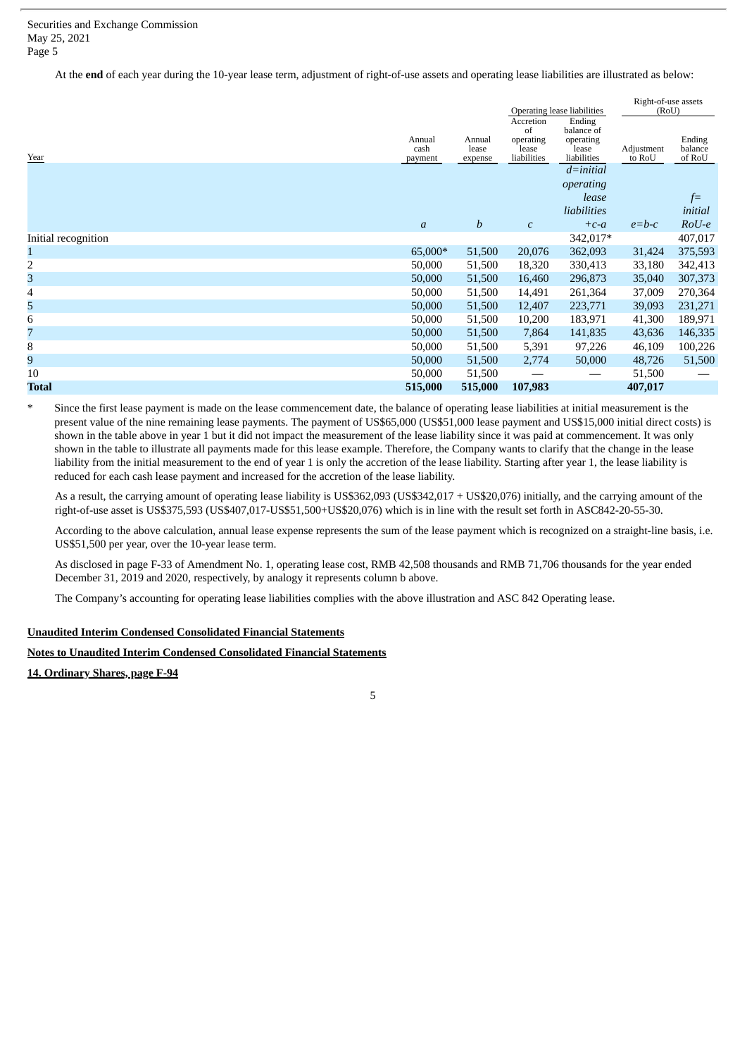At the **end** of each year during the 10-year lease term, adjustment of right-of-use assets and operating lease liabilities are illustrated as below:

|                |                  |                 |                    | Right-of-use assets<br>(RoU)                                    |                   |
|----------------|------------------|-----------------|--------------------|-----------------------------------------------------------------|-------------------|
|                |                  | Accretion       | Ending             |                                                                 |                   |
|                |                  | of              |                    |                                                                 |                   |
|                |                  |                 |                    |                                                                 | Ending<br>balance |
| payment        | expense          | liabilities     | liabilities        | to RoU                                                          | of RoU            |
|                |                  |                 | $d = initial$      |                                                                 |                   |
|                |                  |                 | operating          |                                                                 |                   |
|                |                  |                 | lease              |                                                                 | $f=$              |
|                |                  |                 | liabilities        |                                                                 | initial           |
| $\mathfrak{a}$ | $\boldsymbol{b}$ | $\mathcal{C}$   | $+c-a$             | $e = b - c$                                                     | $RoU-e$           |
|                |                  |                 | 342,017*           |                                                                 | 407,017           |
| 65,000*        | 51,500           | 20,076          | 362,093            | 31,424                                                          | 375,593           |
| 50,000         | 51,500           | 18,320          | 330,413            | 33,180                                                          | 342,413           |
| 50,000         | 51,500           | 16,460          | 296,873            | 35,040                                                          | 307,373           |
| 50,000         | 51,500           | 14,491          | 261,364            | 37,009                                                          | 270,364           |
| 50,000         | 51,500           | 12,407          | 223,771            | 39,093                                                          | 231,271           |
| 50,000         | 51,500           | 10,200          | 183,971            | 41,300                                                          | 189,971           |
| 50,000         | 51,500           | 7,864           | 141,835            | 43,636                                                          | 146,335           |
| 50,000         | 51,500           | 5,391           | 97,226             | 46,109                                                          | 100,226           |
| 50,000         | 51,500           | 2,774           | 50,000             | 48,726                                                          | 51,500            |
| 50,000         | 51,500           |                 |                    | 51,500                                                          |                   |
| 515,000        | 515,000          | 107,983         |                    | 407,017                                                         |                   |
|                | Annual<br>cash   | Annual<br>lease | operating<br>lease | Operating lease liabilities<br>balance of<br>operating<br>lease | Adjustment        |

Since the first lease payment is made on the lease commencement date, the balance of operating lease liabilities at initial measurement is the present value of the nine remaining lease payments. The payment of US\$65,000 (US\$51,000 lease payment and US\$15,000 initial direct costs) is shown in the table above in year 1 but it did not impact the measurement of the lease liability since it was paid at commencement. It was only shown in the table to illustrate all payments made for this lease example. Therefore, the Company wants to clarify that the change in the lease liability from the initial measurement to the end of year 1 is only the accretion of the lease liability. Starting after year 1, the lease liability is reduced for each cash lease payment and increased for the accretion of the lease liability.

As a result, the carrying amount of operating lease liability is US\$362,093 (US\$342,017 + US\$20,076) initially, and the carrying amount of the right-of-use asset is US\$375,593 (US\$407,017-US\$51,500+US\$20,076) which is in line with the result set forth in ASC842-20-55-30.

According to the above calculation, annual lease expense represents the sum of the lease payment which is recognized on a straight-line basis, i.e. US\$51,500 per year, over the 10-year lease term.

As disclosed in page F-33 of Amendment No. 1, operating lease cost, RMB 42,508 thousands and RMB 71,706 thousands for the year ended December 31, 2019 and 2020, respectively, by analogy it represents column b above.

The Company's accounting for operating lease liabilities complies with the above illustration and ASC 842 Operating lease.

# **Unaudited Interim Condensed Consolidated Financial Statements**

# **Notes to Unaudited Interim Condensed Consolidated Financial Statements**

**14. Ordinary Shares, page F-94**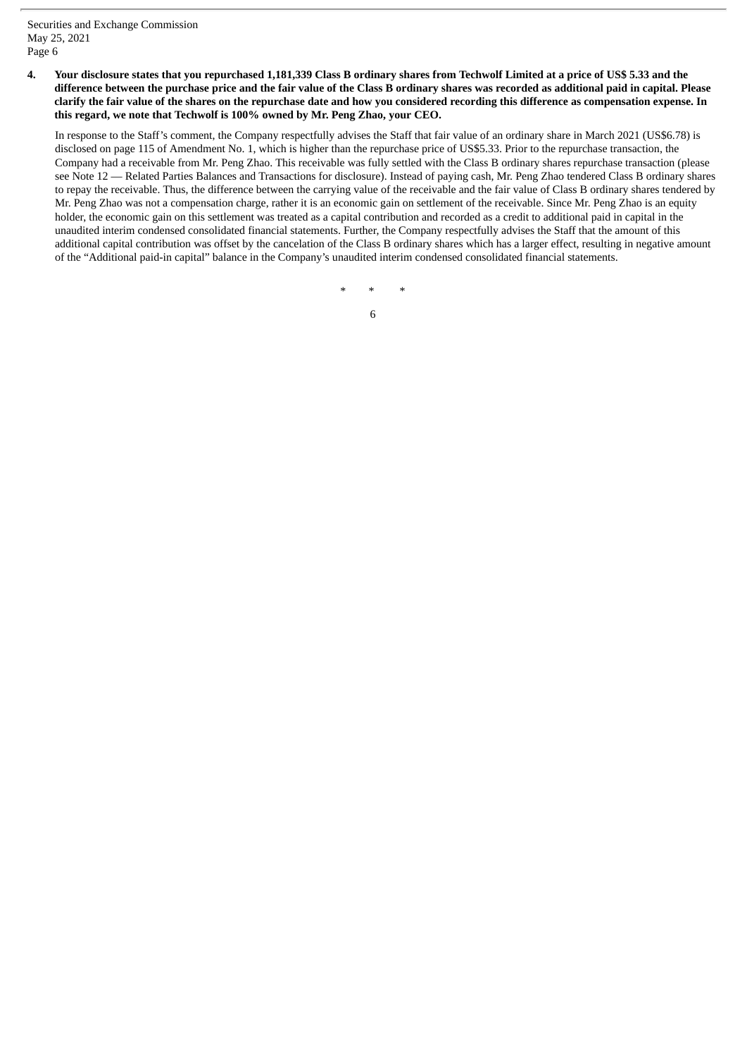# 4. Your disclosure states that you repurchased 1,181,339 Class B ordinary shares from Techwolf Limited at a price of US\$ 5.33 and the difference between the purchase price and the fair value of the Class B ordinary shares was recorded as additional paid in capital. Please clarify the fair value of the shares on the repurchase date and how you considered recording this difference as compensation expense. In **this regard, we note that Techwolf is 100% owned by Mr. Peng Zhao, your CEO.**

In response to the Staff's comment, the Company respectfully advises the Staff that fair value of an ordinary share in March 2021 (US\$6.78) is disclosed on page 115 of Amendment No. 1, which is higher than the repurchase price of US\$5.33. Prior to the repurchase transaction, the Company had a receivable from Mr. Peng Zhao. This receivable was fully settled with the Class B ordinary shares repurchase transaction (please see Note 12 — Related Parties Balances and Transactions for disclosure). Instead of paying cash, Mr. Peng Zhao tendered Class B ordinary shares to repay the receivable. Thus, the difference between the carrying value of the receivable and the fair value of Class B ordinary shares tendered by Mr. Peng Zhao was not a compensation charge, rather it is an economic gain on settlement of the receivable. Since Mr. Peng Zhao is an equity holder, the economic gain on this settlement was treated as a capital contribution and recorded as a credit to additional paid in capital in the unaudited interim condensed consolidated financial statements. Further, the Company respectfully advises the Staff that the amount of this additional capital contribution was offset by the cancelation of the Class B ordinary shares which has a larger effect, resulting in negative amount of the "Additional paid-in capital" balance in the Company's unaudited interim condensed consolidated financial statements.

\* \* \*